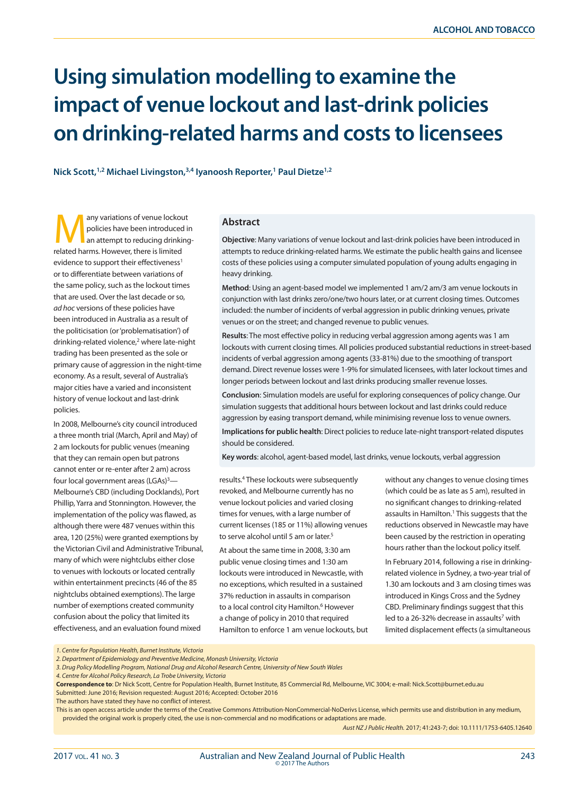# **Using simulation modelling to examine the impact of venue lockout and last-drink policies on drinking-related harms and costs to licensees**

**Nick Scott,1,2 Michael Livingston,3,4 Iyanoosh Reporter,1 Paul Dietze1,2**

any variations of venue lockout<br>
policies have been introduced in<br>
an attempt to reducing drinking-<br>
related barms. However, there is limited policies have been introduced in related harms. However, there is limited evidence to support their effectiveness<sup>1</sup> or to differentiate between variations of the same policy, such as the lockout times that are used. Over the last decade or so, *ad hoc* versions of these policies have been introduced in Australia as a result of the politicisation (or 'problematisation') of drinking-related violence,<sup>2</sup> where late-night trading has been presented as the sole or primary cause of aggression in the night-time economy. As a result, several of Australia's major cities have a varied and inconsistent history of venue lockout and last-drink policies.

In 2008, Melbourne's city council introduced a three month trial (March, April and May) of 2 am lockouts for public venues (meaning that they can remain open but patrons cannot enter or re-enter after 2 am) across four local government areas (LGAs)<sup>3</sup>— Melbourne's CBD (including Docklands), Port Phillip, Yarra and Stonnington. However, the implementation of the policy was flawed, as although there were 487 venues within this area, 120 (25%) were granted exemptions by the Victorian Civil and Administrative Tribunal, many of which were nightclubs either close to venues with lockouts or located centrally within entertainment precincts (46 of the 85 nightclubs obtained exemptions). The large number of exemptions created community confusion about the policy that limited its effectiveness, and an evaluation found mixed

#### **Abstract**

**Objective**: Many variations of venue lockout and last-drink policies have been introduced in attempts to reduce drinking-related harms. We estimate the public health gains and licensee costs of these policies using a computer simulated population of young adults engaging in heavy drinking.

**Method**: Using an agent-based model we implemented 1 am/2 am/3 am venue lockouts in conjunction with last drinks zero/one/two hours later, or at current closing times. Outcomes included: the number of incidents of verbal aggression in public drinking venues, private venues or on the street; and changed revenue to public venues.

**Results**: The most effective policy in reducing verbal aggression among agents was 1 am lockouts with current closing times. All policies produced substantial reductions in street-based incidents of verbal aggression among agents (33-81%) due to the smoothing of transport demand. Direct revenue losses were 1-9% for simulated licensees, with later lockout times and longer periods between lockout and last drinks producing smaller revenue losses.

**Conclusion**: Simulation models are useful for exploring consequences of policy change. Our simulation suggests that additional hours between lockout and last drinks could reduce aggression by easing transport demand, while minimising revenue loss to venue owners.

**Implications for public health**: Direct policies to reduce late-night transport-related disputes should be considered.

**Key words**: alcohol, agent-based model, last drinks, venue lockouts, verbal aggression

results.4 These lockouts were subsequently revoked, and Melbourne currently has no venue lockout policies and varied closing times for venues, with a large number of current licenses (185 or 11%) allowing venues to serve alcohol until 5 am or later.<sup>5</sup>

At about the same time in 2008, 3:30 am public venue closing times and 1:30 am lockouts were introduced in Newcastle, with no exceptions, which resulted in a sustained 37% reduction in assaults in comparison to a local control city Hamilton.<sup>6</sup> However a change of policy in 2010 that required Hamilton to enforce 1 am venue lockouts, but without any changes to venue closing times (which could be as late as 5 am), resulted in no significant changes to drinking-related assaults in Hamilton.<sup>1</sup> This suggests that the reductions observed in Newcastle may have been caused by the restriction in operating hours rather than the lockout policy itself. In February 2014, following a rise in drinkingrelated violence in Sydney, a two-year trial of 1.30 am lockouts and 3 am closing times was introduced in Kings Cross and the Sydney CBD. Preliminary findings suggest that this led to a 26-32% decrease in assaults<sup>7</sup> with limited displacement effects (a simultaneous

*Aust NZ J Public Health.* 2017; 41:243-7; doi: 10.1111/1753-6405.12640

*<sup>1.</sup> Centre for Population Health, Burnet Institute, Victoria*

*<sup>2.</sup> Department of Epidemiology and Preventive Medicine, Monash University, Victoria*

*<sup>3.</sup> Drug Policy Modelling Program, National Drug and Alcohol Research Centre, University of New South Wales*

*<sup>4.</sup> Centre for Alcohol Policy Research, La Trobe University, Victoria*

**Correspondence to**: Dr Nick Scott, Centre for Population Health, Burnet Institute, 85 Commercial Rd, Melbourne, VIC 3004; e-mail: Nick.Scott@burnet.edu.au Submitted: June 2016; Revision requested: August 2016; Accepted: October 2016

The authors have stated they have no conflict of interest.

This is an open access article under the terms of the Creative Commons Attribution-NonCommercial-NoDerivs License, which permits use and distribution in any medium, provided the original work is properly cited, the use is non-commercial and no modifications or adaptations are made.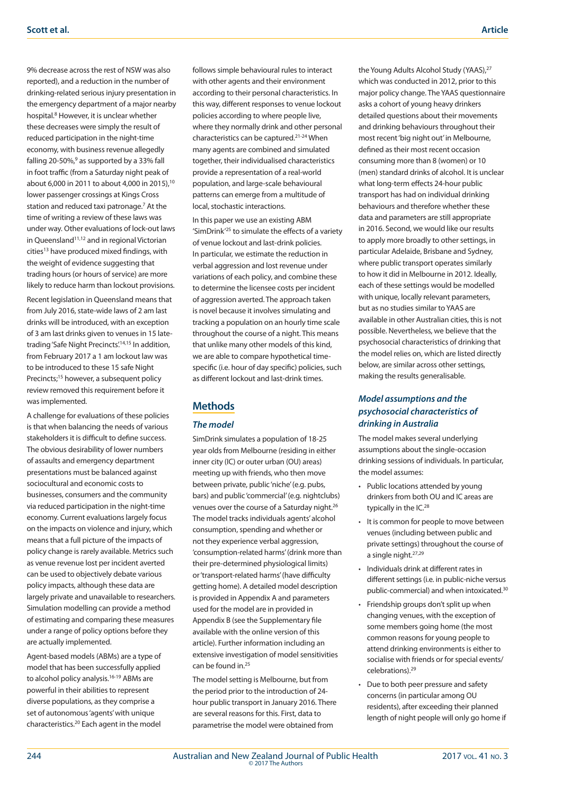9% decrease across the rest of NSW was also reported), and a reduction in the number of drinking-related serious injury presentation in the emergency department of a major nearby hospital.<sup>8</sup> However, it is unclear whether these decreases were simply the result of reduced participation in the night-time economy, with business revenue allegedly falling 20-50%,<sup>9</sup> as supported by a 33% fall in foot traffic (from a Saturday night peak of about 6,000 in 2011 to about 4,000 in 2015),<sup>10</sup> lower passenger crossings at Kings Cross station and reduced taxi patronage.7 At the time of writing a review of these laws was under way. Other evaluations of lock-out laws in Queensland<sup>11,12</sup> and in regional Victorian cities<sup>13</sup> have produced mixed findings, with the weight of evidence suggesting that trading hours (or hours of service) are more likely to reduce harm than lockout provisions.

Recent legislation in Queensland means that from July 2016, state-wide laws of 2 am last drinks will be introduced, with an exception of 3 am last drinks given to venues in 15 latetrading 'Safe Night Precincts'.14,15 In addition, from February 2017 a 1 am lockout law was to be introduced to these 15 safe Night Precincts;<sup>15</sup> however, a subsequent policy review removed this requirement before it was implemented.

A challenge for evaluations of these policies is that when balancing the needs of various stakeholders it is difficult to define success. The obvious desirability of lower numbers of assaults and emergency department presentations must be balanced against sociocultural and economic costs to businesses, consumers and the community via reduced participation in the night-time economy. Current evaluations largely focus on the impacts on violence and injury, which means that a full picture of the impacts of policy change is rarely available. Metrics such as venue revenue lost per incident averted can be used to objectively debate various policy impacts, although these data are largely private and unavailable to researchers. Simulation modelling can provide a method of estimating and comparing these measures under a range of policy options before they are actually implemented.

Agent-based models (ABMs) are a type of model that has been successfully applied to alcohol policy analysis.<sup>16-19</sup> ABMs are powerful in their abilities to represent diverse populations, as they comprise a set of autonomous 'agents' with unique characteristics.20 Each agent in the model

follows simple behavioural rules to interact with other agents and their environment according to their personal characteristics. In this way, different responses to venue lockout policies according to where people live, where they normally drink and other personal characteristics can be captured.21-24 When many agents are combined and simulated together, their individualised characteristics provide a representation of a real-world population, and large-scale behavioural patterns can emerge from a multitude of local, stochastic interactions.

In this paper we use an existing ABM 'SimDrink'25 to simulate the effects of a variety of venue lockout and last-drink policies. In particular, we estimate the reduction in verbal aggression and lost revenue under variations of each policy, and combine these to determine the licensee costs per incident of aggression averted. The approach taken is novel because it involves simulating and tracking a population on an hourly time scale throughout the course of a night. This means that unlike many other models of this kind, we are able to compare hypothetical timespecific (i.e. hour of day specific) policies, such as different lockout and last-drink times.

# **Methods**

#### *The model*

SimDrink simulates a population of 18-25 year olds from Melbourne (residing in either inner city (IC) or outer urban (OU) areas) meeting up with friends, who then move between private, public 'niche' (e.g. pubs, bars) and public 'commercial' (e.g. nightclubs) venues over the course of a Saturday night.26 The model tracks individuals agents' alcohol consumption, spending and whether or not they experience verbal aggression, 'consumption-related harms' (drink more than their pre-determined physiological limits) or 'transport-related harms' (have difficulty getting home). A detailed model description is provided in Appendix A and parameters used for the model are in provided in Appendix B (see the Supplementary file available with the online version of this article). Further information including an extensive investigation of model sensitivities can be found in.<sup>25</sup>

The model setting is Melbourne, but from the period prior to the introduction of 24 hour public transport in January 2016. There are several reasons for this. First, data to parametrise the model were obtained from

the Young Adults Alcohol Study (YAAS),<sup>27</sup> which was conducted in 2012, prior to this major policy change. The YAAS questionnaire asks a cohort of young heavy drinkers detailed questions about their movements and drinking behaviours throughout their most recent 'big night out' in Melbourne, defined as their most recent occasion consuming more than 8 (women) or 10 (men) standard drinks of alcohol. It is unclear what long-term effects 24-hour public transport has had on individual drinking behaviours and therefore whether these data and parameters are still appropriate in 2016. Second, we would like our results to apply more broadly to other settings, in particular Adelaide, Brisbane and Sydney, where public transport operates similarly to how it did in Melbourne in 2012. Ideally, each of these settings would be modelled with unique, locally relevant parameters, but as no studies similar to YAAS are available in other Australian cities, this is not possible. Nevertheless, we believe that the psychosocial characteristics of drinking that the model relies on, which are listed directly below, are similar across other settings, making the results generalisable.

## *Model assumptions and the psychosocial characteristics of drinking in Australia*

The model makes several underlying assumptions about the single-occasion drinking sessions of individuals. In particular, the model assumes:

- Public locations attended by young drinkers from both OU and IC areas are typically in the IC.<sup>28</sup>
- • It is common for people to move between venues (including between public and private settings) throughout the course of a single night.27,29
- • Individuals drink at different rates in different settings (i.e. in public-niche versus public-commercial) and when intoxicated.<sup>30</sup>
- Friendship groups don't split up when changing venues, with the exception of some members going home (the most common reasons for young people to attend drinking environments is either to socialise with friends or for special events/ celebrations).29
- Due to both peer pressure and safety concerns (in particular among OU residents), after exceeding their planned length of night people will only go home if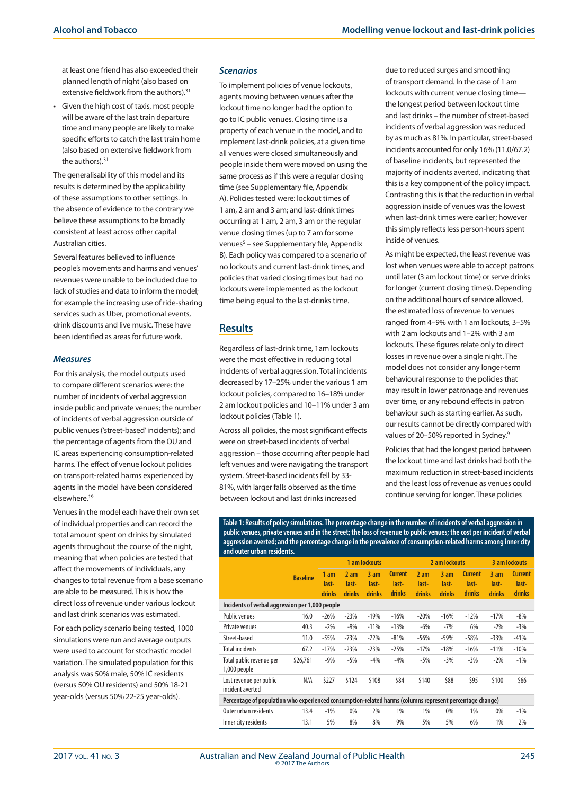at least one friend has also exceeded their planned length of night (also based on extensive fieldwork from the authors).<sup>31</sup>

Given the high cost of taxis, most people will be aware of the last train departure time and many people are likely to make specific efforts to catch the last train home (also based on extensive fieldwork from the authors).<sup>31</sup>

The generalisability of this model and its results is determined by the applicability of these assumptions to other settings. In the absence of evidence to the contrary we believe these assumptions to be broadly consistent at least across other capital Australian cities.

Several features believed to influence people's movements and harms and venues' revenues were unable to be included due to lack of studies and data to inform the model; for example the increasing use of ride-sharing services such as Uber, promotional events, drink discounts and live music. These have been identified as areas for future work.

#### *Measures*

For this analysis, the model outputs used to compare different scenarios were: the number of incidents of verbal aggression inside public and private venues; the number of incidents of verbal aggression outside of public venues ('street-based' incidents); and the percentage of agents from the OU and IC areas experiencing consumption-related harms. The effect of venue lockout policies on transport-related harms experienced by agents in the model have been considered elsewhere.19

Venues in the model each have their own set of individual properties and can record the total amount spent on drinks by simulated agents throughout the course of the night, meaning that when policies are tested that affect the movements of individuals, any changes to total revenue from a base scenario are able to be measured. This is how the direct loss of revenue under various lockout and last drink scenarios was estimated.

For each policy scenario being tested, 1000 simulations were run and average outputs were used to account for stochastic model variation. The simulated population for this analysis was 50% male, 50% IC residents (versus 50% OU residents) and 50% 18-21 year-olds (versus 50% 22-25 year-olds).

#### *Scenarios*

To implement policies of venue lockouts, agents moving between venues after the lockout time no longer had the option to go to IC public venues. Closing time is a property of each venue in the model, and to implement last-drink policies, at a given time all venues were closed simultaneously and people inside them were moved on using the same process as if this were a regular closing time (see Supplementary file, Appendix A). Policies tested were: lockout times of 1 am, 2 am and 3 am; and last-drink times occurring at 1 am, 2 am, 3 am or the regular venue closing times (up to 7 am for some venues<sup>5</sup> – see Supplementary file, Appendix B). Each policy was compared to a scenario of no lockouts and current last-drink times, and policies that varied closing times but had no lockouts were implemented as the lockout time being equal to the last-drinks time.

### **Results**

Regardless of last-drink time, 1am lockouts were the most effective in reducing total incidents of verbal aggression. Total incidents decreased by 17–25% under the various 1 am lockout policies, compared to 16–18% under 2 am lockout policies and 10–11% under 3 am lockout policies (Table 1).

Across all policies, the most significant effects were on street-based incidents of verbal aggression – those occurring after people had left venues and were navigating the transport system. Street-based incidents fell by 33- 81%, with larger falls observed as the time between lockout and last drinks increased

due to reduced surges and smoothing of transport demand. In the case of 1 am lockouts with current venue closing time the longest period between lockout time and last drinks – the number of street-based incidents of verbal aggression was reduced by as much as 81%. In particular, street-based incidents accounted for only 16% (11.0/67.2) of baseline incidents, but represented the majority of incidents averted, indicating that this is a key component of the policy impact. Contrasting this is that the reduction in verbal aggression inside of venues was the lowest when last-drink times were earlier; however this simply reflects less person-hours spent inside of venues.

As might be expected, the least revenue was lost when venues were able to accept patrons until later (3 am lockout time) or serve drinks for longer (current closing times). Depending on the additional hours of service allowed, the estimated loss of revenue to venues ranged from 4–9% with 1 am lockouts, 3–5% with 2 am lockouts and 1–2% with 3 am lockouts. These figures relate only to direct losses in revenue over a single night. The model does not consider any longer-term behavioural response to the policies that may result in lower patronage and revenues over time, or any rebound effects in patron behaviour such as starting earlier. As such, our results cannot be directly compared with values of 20-50% reported in Sydney.<sup>9</sup>

Policies that had the longest period between the lockout time and last drinks had both the maximum reduction in street-based incidents and the least loss of revenue as venues could continue serving for longer. These policies

**Table 1: Results of policy simulations. The percentage change in the number of incidents of verbal aggression in public venues, private venues and in the street; the loss of revenue to public venues; the cost per incident of verbal aggression averted; and the percentage change in the prevalence of consumption-related harms among inner city and outer urban residents.**

|                                                                                                          |                 | 1 am lockouts                             |                                           |                                           |                                   | 2 am lockouts          |                           |                                   | 3 am lockouts                 |                                   |
|----------------------------------------------------------------------------------------------------------|-----------------|-------------------------------------------|-------------------------------------------|-------------------------------------------|-----------------------------------|------------------------|---------------------------|-----------------------------------|-------------------------------|-----------------------------------|
|                                                                                                          | <b>Baseline</b> | 1 <sub>am</sub><br>last-<br><b>drinks</b> | 2 <sub>am</sub><br>last-<br><b>drinks</b> | 3 <sub>am</sub><br>last-<br><b>drinks</b> | <b>Current</b><br>last-<br>drinks | 2am<br>last-<br>drinks | $3$ am<br>last-<br>drinks | <b>Current</b><br>last-<br>drinks | 3am<br>last-<br><b>drinks</b> | <b>Current</b><br>last-<br>drinks |
| Incidents of verbal aggression per 1,000 people                                                          |                 |                                           |                                           |                                           |                                   |                        |                           |                                   |                               |                                   |
| <b>Public venues</b>                                                                                     | 16.0            | $-26%$                                    | $-23%$                                    | $-19%$                                    | $-16%$                            | $-20%$                 | $-16%$                    | $-12%$                            | $-17%$                        | $-8%$                             |
| Private venues                                                                                           | 40.3            | $-2%$                                     | $-9%$                                     | $-11%$                                    | $-13%$                            | $-6%$                  | $-7%$                     | 6%                                | $-2\%$                        | $-3%$                             |
| Street-based                                                                                             | 11.0            | $-55%$                                    | $-73%$                                    | $-72%$                                    | $-81%$                            | $-56%$                 | $-59%$                    | $-58%$                            | $-33%$                        | $-41%$                            |
| <b>Total incidents</b>                                                                                   | 67.2            | $-17%$                                    | $-23%$                                    | $-23%$                                    | $-25%$                            | $-17%$                 | $-18%$                    | $-16%$                            | $-11%$                        | $-10%$                            |
| Total public revenue per<br>1,000 people                                                                 | \$26,761        | $-9%$                                     | $-5%$                                     | $-4%$                                     | $-4%$                             | $-5%$                  | $-3%$                     | $-3%$                             | $-2%$                         | $-1%$                             |
| Lost revenue per public<br>incident averted                                                              | N/A             | \$227                                     | \$124                                     | \$108                                     | \$84                              | \$140                  | \$88                      | \$95                              | \$100                         | \$66                              |
| Percentage of population who experienced consumption-related harms (columns represent percentage change) |                 |                                           |                                           |                                           |                                   |                        |                           |                                   |                               |                                   |
| Outer urban residents                                                                                    | 13.4            | $-1%$                                     | 0%                                        | 2%                                        | 1%                                | 1%                     | 0%                        | 1%                                | 0%                            | $-1%$                             |
| Inner city residents                                                                                     | 13.1            | 5%                                        | 8%                                        | 8%                                        | 9%                                | 5%                     | 5%                        | 6%                                | 1%                            | 2%                                |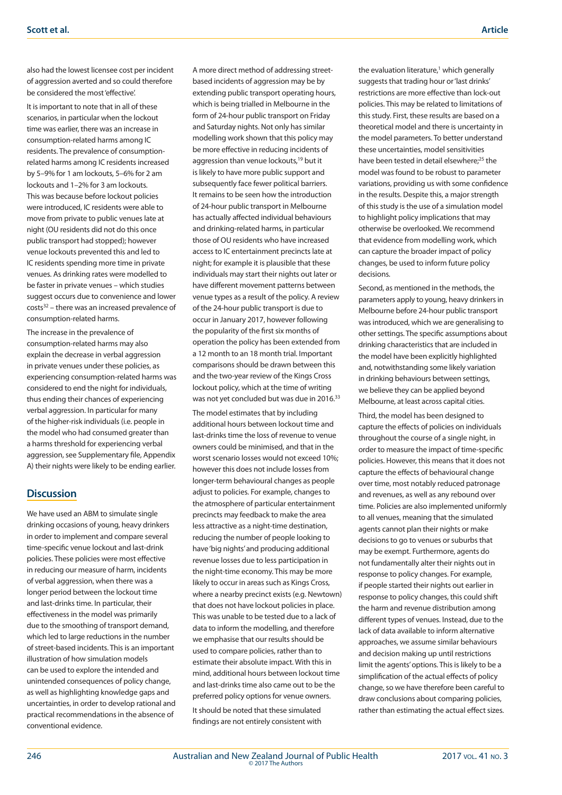also had the lowest licensee cost per incident of aggression averted and so could therefore be considered the most 'effective'.

It is important to note that in all of these scenarios, in particular when the lockout time was earlier, there was an increase in consumption-related harms among IC residents. The prevalence of consumptionrelated harms among IC residents increased by 5–9% for 1 am lockouts, 5–6% for 2 am lockouts and 1–2% for 3 am lockouts. This was because before lockout policies were introduced, IC residents were able to move from private to public venues late at night (OU residents did not do this once public transport had stopped); however venue lockouts prevented this and led to IC residents spending more time in private venues. As drinking rates were modelled to be faster in private venues – which studies suggest occurs due to convenience and lower  $costs<sup>32</sup> - there was an increased prevalence of$ consumption-related harms.

The increase in the prevalence of consumption-related harms may also explain the decrease in verbal aggression in private venues under these policies, as experiencing consumption-related harms was considered to end the night for individuals, thus ending their chances of experiencing verbal aggression. In particular for many of the higher-risk individuals (i.e. people in the model who had consumed greater than a harms threshold for experiencing verbal aggression, see Supplementary file, Appendix A) their nights were likely to be ending earlier.

# **Discussion**

We have used an ABM to simulate single drinking occasions of young, heavy drinkers in order to implement and compare several time-specific venue lockout and last-drink policies. These policies were most effective in reducing our measure of harm, incidents of verbal aggression, when there was a longer period between the lockout time and last-drinks time. In particular, their effectiveness in the model was primarily due to the smoothing of transport demand, which led to large reductions in the number of street-based incidents. This is an important illustration of how simulation models can be used to explore the intended and unintended consequences of policy change, as well as highlighting knowledge gaps and uncertainties, in order to develop rational and practical recommendations in the absence of conventional evidence.

A more direct method of addressing streetbased incidents of aggression may be by extending public transport operating hours, which is being trialled in Melbourne in the form of 24-hour public transport on Friday and Saturday nights. Not only has similar modelling work shown that this policy may be more effective in reducing incidents of aggression than venue lockouts,<sup>19</sup> but it is likely to have more public support and subsequently face fewer political barriers. It remains to be seen how the introduction of 24-hour public transport in Melbourne has actually affected individual behaviours and drinking-related harms, in particular those of OU residents who have increased access to IC entertainment precincts late at night; for example it is plausible that these individuals may start their nights out later or have different movement patterns between venue types as a result of the policy. A review of the 24-hour public transport is due to occur in January 2017, however following the popularity of the first six months of operation the policy has been extended from a 12 month to an 18 month trial. Important comparisons should be drawn between this and the two-year review of the Kings Cross lockout policy, which at the time of writing was not yet concluded but was due in 2016.<sup>33</sup>

The model estimates that by including additional hours between lockout time and last-drinks time the loss of revenue to venue owners could be minimised, and that in the worst scenario losses would not exceed 10%; however this does not include losses from longer-term behavioural changes as people adjust to policies. For example, changes to the atmosphere of particular entertainment precincts may feedback to make the area less attractive as a night-time destination, reducing the number of people looking to have 'big nights' and producing additional revenue losses due to less participation in the night-time economy. This may be more likely to occur in areas such as Kings Cross, where a nearby precinct exists (e.g. Newtown) that does not have lockout policies in place. This was unable to be tested due to a lack of data to inform the modelling, and therefore we emphasise that our results should be used to compare policies, rather than to estimate their absolute impact. With this in mind, additional hours between lockout time and last-drinks time also came out to be the preferred policy options for venue owners. It should be noted that these simulated findings are not entirely consistent with

the evaluation literature,<sup>1</sup> which generally suggests that trading hour or 'last drinks' restrictions are more effective than lock-out policies. This may be related to limitations of this study. First, these results are based on a theoretical model and there is uncertainty in the model parameters. To better understand these uncertainties, model sensitivities have been tested in detail elsewhere;<sup>25</sup> the model was found to be robust to parameter variations, providing us with some confidence in the results. Despite this, a major strength of this study is the use of a simulation model to highlight policy implications that may otherwise be overlooked. We recommend that evidence from modelling work, which can capture the broader impact of policy changes, be used to inform future policy decisions.

Second, as mentioned in the methods, the parameters apply to young, heavy drinkers in Melbourne before 24-hour public transport was introduced, which we are generalising to other settings. The specific assumptions about drinking characteristics that are included in the model have been explicitly highlighted and, notwithstanding some likely variation in drinking behaviours between settings, we believe they can be applied beyond Melbourne, at least across capital cities.

Third, the model has been designed to capture the effects of policies on individuals throughout the course of a single night, in order to measure the impact of time-specific policies. However, this means that it does not capture the effects of behavioural change over time, most notably reduced patronage and revenues, as well as any rebound over time. Policies are also implemented uniformly to all venues, meaning that the simulated agents cannot plan their nights or make decisions to go to venues or suburbs that may be exempt. Furthermore, agents do not fundamentally alter their nights out in response to policy changes. For example, if people started their nights out earlier in response to policy changes, this could shift the harm and revenue distribution among different types of venues. Instead, due to the lack of data available to inform alternative approaches, we assume similar behaviours and decision making up until restrictions limit the agents' options. This is likely to be a simplification of the actual effects of policy change, so we have therefore been careful to draw conclusions about comparing policies, rather than estimating the actual effect sizes.